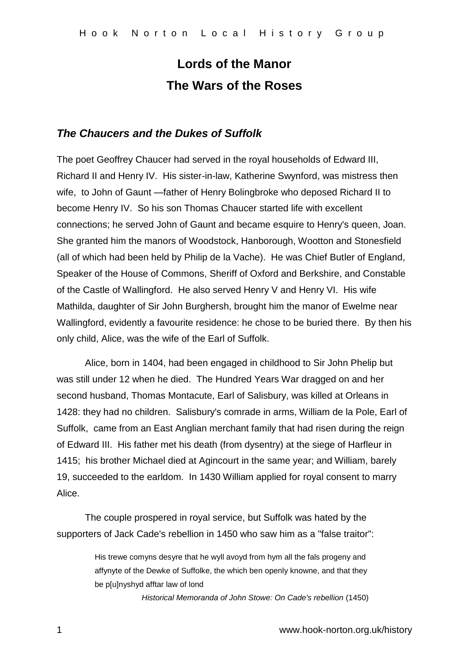# **Lords of the Manor The Wars of the Roses**

## *The Chaucers and the Dukes of Suffolk*

The poet Geoffrey Chaucer had served in the royal households of Edward III, Richard II and Henry IV. His sister-in-law, Katherine Swynford, was mistress then wife, to John of Gaunt —father of Henry Bolingbroke who deposed Richard II to become Henry IV. So his son Thomas Chaucer started life with excellent connections; he served John of Gaunt and became esquire to Henry's queen, Joan. She granted him the manors of Woodstock, Hanborough, Wootton and Stonesfield (all of which had been held by Philip de la Vache). He was Chief Butler of England, Speaker of the House of Commons, Sheriff of Oxford and Berkshire, and Constable of the Castle of Wallingford. He also served Henry V and Henry VI. His wife Mathilda, daughter of Sir John Burghersh, brought him the manor of Ewelme near Wallingford, evidently a favourite residence: he chose to be buried there. By then his only child, Alice, was the wife of the Earl of Suffolk.

Alice, born in 1404, had been engaged in childhood to Sir John Phelip but was still under 12 when he died. The Hundred Years War dragged on and her second husband, Thomas Montacute, Earl of Salisbury, was killed at Orleans in 1428: they had no children. Salisbury's comrade in arms, William de la Pole, Earl of Suffolk, came from an East Anglian merchant family that had risen during the reign of Edward III. His father met his death (from dysentry) at the siege of Harfleur in 1415; his brother Michael died at Agincourt in the same year; and William, barely 19, succeeded to the earldom. In 1430 William applied for royal consent to marry Alice.

The couple prospered in royal service, but Suffolk was hated by the supporters of Jack Cade's rebellion in 1450 who saw him as a "false traitor":

> His trewe comyns desyre that he wyll avoyd from hym all the fals progeny and affynyte of the Dewke of Suffolke, the which ben openly knowne, and that they be p[u]nyshyd afftar law of lond

> > *Historical Memoranda of John Stowe: On Cade's rebellion* (1450)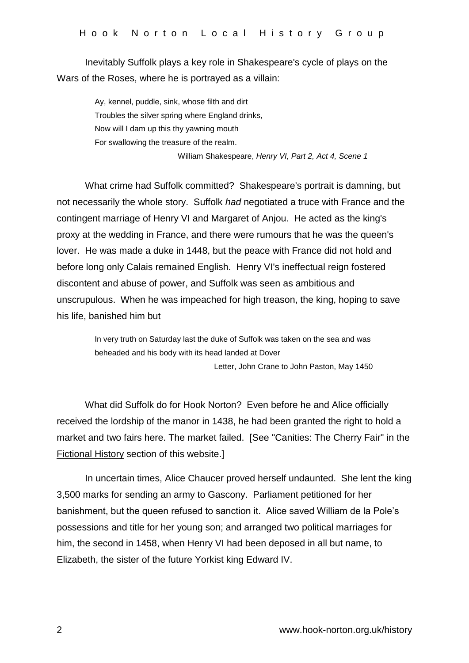Inevitably Suffolk plays a key role in Shakespeare's cycle of plays on the Wars of the Roses, where he is portrayed as a villain:

> Ay, kennel, puddle, sink, whose filth and dirt Troubles the silver spring where England drinks, Now will I dam up this thy yawning mouth For swallowing the treasure of the realm.

William Shakespeare, *Henry VI, Part 2, Act 4, Scene 1*

What crime had Suffolk committed? Shakespeare's portrait is damning, but not necessarily the whole story. Suffolk *had* negotiated a truce with France and the contingent marriage of Henry VI and Margaret of Anjou. He acted as the king's proxy at the wedding in France, and there were rumours that he was the queen's lover. He was made a duke in 1448, but the peace with France did not hold and before long only Calais remained English. Henry VI's ineffectual reign fostered discontent and abuse of power, and Suffolk was seen as ambitious and unscrupulous. When he was impeached for high treason, the king, hoping to save his life, banished him but

> In very truth on Saturday last the duke of Suffolk was taken on the sea and was beheaded and his body with its head landed at Dover

> > Letter, John Crane to John Paston, May 1450

What did Suffolk do for Hook Norton? Even before he and Alice officially received the lordship of the manor in 1438, he had been granted the right to hold a market and two fairs here. The market failed. [See "Canities: The Cherry Fair" in the Fictional History section of this website.]

In uncertain times, Alice Chaucer proved herself undaunted. She lent the king 3,500 marks for sending an army to Gascony. Parliament petitioned for her banishment, but the queen refused to sanction it. Alice saved William de la Pole's possessions and title for her young son; and arranged two political marriages for him, the second in 1458, when Henry VI had been deposed in all but name, to Elizabeth, the sister of the future Yorkist king Edward IV.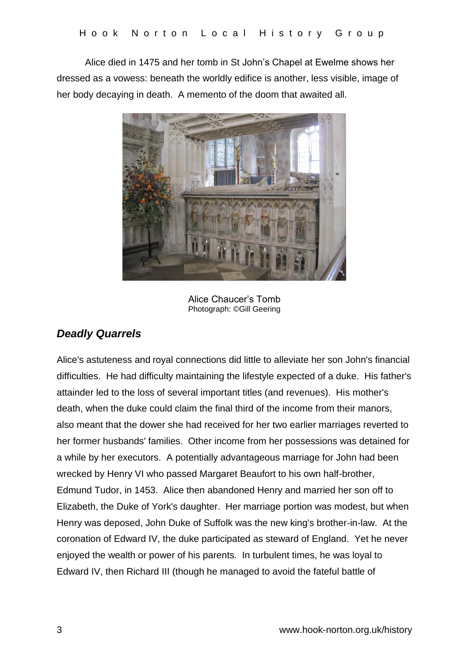Alice died in 1475 and her tomb in St John's Chapel at Ewelme shows her dressed as a vowess: beneath the worldly edifice is another, less visible, image of her body decaying in death. A memento of the doom that awaited all.



Alice Chaucer's Tomb Photograph: ©Gill Geering

# *Deadly Quarrels*

Alice's astuteness and royal connections did little to alleviate her son John's financial difficulties. He had difficulty maintaining the lifestyle expected of a duke. His father's attainder led to the loss of several important titles (and revenues). His mother's death, when the duke could claim the final third of the income from their manors, also meant that the dower she had received for her two earlier marriages reverted to her former husbands' families. Other income from her possessions was detained for a while by her executors. A potentially advantageous marriage for John had been wrecked by Henry VI who passed Margaret Beaufort to his own half-brother, Edmund Tudor, in 1453. Alice then abandoned Henry and married her son off to Elizabeth, the Duke of York's daughter. Her marriage portion was modest, but when Henry was deposed, John Duke of Suffolk was the new king's brother-in-law. At the coronation of Edward IV, the duke participated as steward of England. Yet he never enjoyed the wealth or power of his parents. In turbulent times, he was loyal to Edward IV, then Richard III (though he managed to avoid the fateful battle of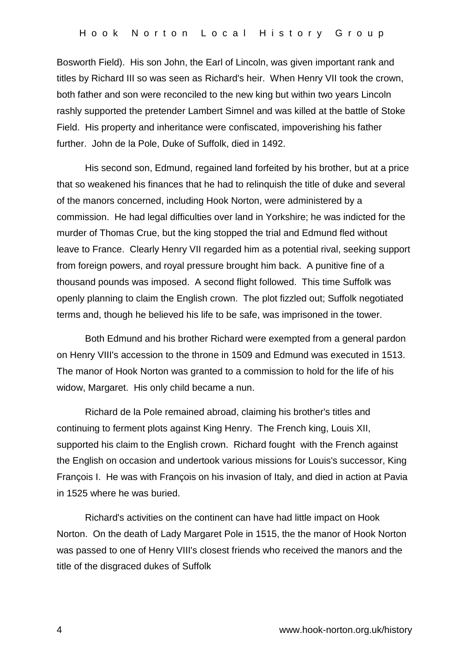Bosworth Field). His son John, the Earl of Lincoln, was given important rank and titles by Richard III so was seen as Richard's heir. When Henry VII took the crown, both father and son were reconciled to the new king but within two years Lincoln rashly supported the pretender Lambert Simnel and was killed at the battle of Stoke Field. His property and inheritance were confiscated, impoverishing his father further. John de la Pole, Duke of Suffolk, died in 1492.

His second son, Edmund, regained land forfeited by his brother, but at a price that so weakened his finances that he had to relinquish the title of duke and several of the manors concerned, including Hook Norton, were administered by a commission. He had legal difficulties over land in Yorkshire; he was indicted for the murder of Thomas Crue, but the king stopped the trial and Edmund fled without leave to France. Clearly Henry VII regarded him as a potential rival, seeking support from foreign powers, and royal pressure brought him back. A punitive fine of a thousand pounds was imposed. A second flight followed. This time Suffolk was openly planning to claim the English crown. The plot fizzled out; Suffolk negotiated terms and, though he believed his life to be safe, was imprisoned in the tower.

Both Edmund and his brother Richard were exempted from a general pardon on Henry VIII's accession to the throne in 1509 and Edmund was executed in 1513. The manor of Hook Norton was granted to a commission to hold for the life of his widow, Margaret. His only child became a nun.

Richard de la Pole remained abroad, claiming his brother's titles and continuing to ferment plots against King Henry. The French king, Louis XII, supported his claim to the English crown. Richard fought with the French against the English on occasion and undertook various missions for Louis's successor, King François I. He was with François on his invasion of Italy, and died in action at Pavia in 1525 where he was buried.

Richard's activities on the continent can have had little impact on Hook Norton. On the death of Lady Margaret Pole in 1515, the the manor of Hook Norton was passed to one of Henry VIII's closest friends who received the manors and the title of the disgraced dukes of Suffolk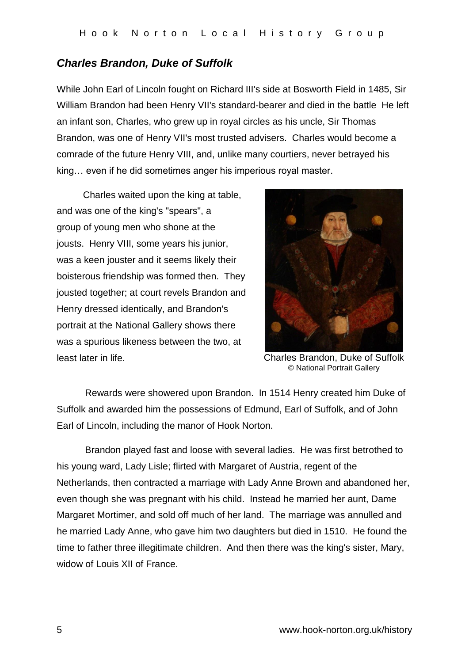### *Charles Brandon, Duke of Suffolk*

While John Earl of Lincoln fought on Richard III's side at Bosworth Field in 1485, Sir William Brandon had been Henry VII's standard-bearer and died in the battle He left an infant son, Charles, who grew up in royal circles as his uncle, Sir Thomas Brandon, was one of Henry VII's most trusted advisers. Charles would become a comrade of the future Henry VIII, and, unlike many courtiers, never betrayed his king… even if he did sometimes anger his imperious royal master.

 Charles waited upon the king at table, and was one of the king's "spears", a group of young men who shone at the jousts. Henry VIII, some years his junior, was a keen jouster and it seems likely their boisterous friendship was formed then. They jousted together; at court revels Brandon and Henry dressed identically, and Brandon's portrait at the National Gallery shows there was a spurious likeness between the two, at least later in life.



Charles Brandon, Duke of Suffolk © National Portrait Gallery

Rewards were showered upon Brandon. In 1514 Henry created him Duke of Suffolk and awarded him the possessions of Edmund, Earl of Suffolk, and of John Earl of Lincoln, including the manor of Hook Norton.

Brandon played fast and loose with several ladies. He was first betrothed to his young ward, Lady Lisle; flirted with Margaret of Austria, regent of the Netherlands, then contracted a marriage with Lady Anne Brown and abandoned her, even though she was pregnant with his child. Instead he married her aunt, Dame Margaret Mortimer, and sold off much of her land. The marriage was annulled and he married Lady Anne, who gave him two daughters but died in 1510. He found the time to father three illegitimate children. And then there was the king's sister, Mary, widow of Louis XII of France.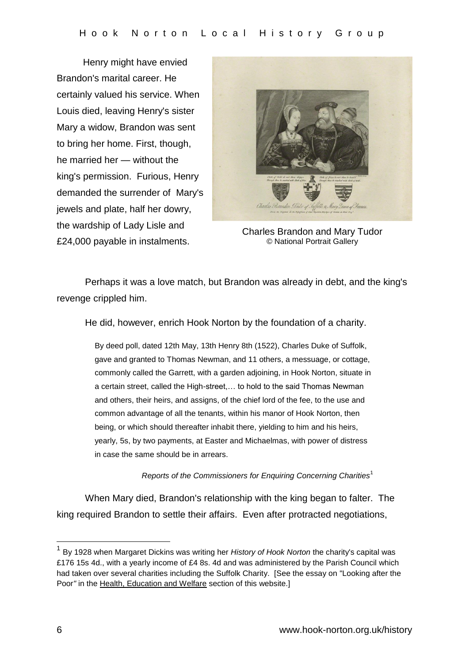Henry might have envied Brandon's marital career. He certainly valued his service. When Louis died, leaving Henry's sister Mary a widow, Brandon was sent to bring her home. First, though, he married her — without the king's permission. Furious, Henry demanded the surrender of Mary's jewels and plate, half her dowry, the wardship of Lady Lisle and £24,000 payable in instalments.



Charles Brandon and Mary Tudor © National Portrait Gallery

Perhaps it was a love match, but Brandon was already in debt, and the king's revenge crippled him.

He did, however, enrich Hook Norton by the foundation of a charity.

By deed poll, dated 12th May, 13th Henry 8th (1522), Charles Duke of Suffolk, gave and granted to Thomas Newman, and 11 others, a messuage, or cottage, commonly called the Garrett, with a garden adjoining, in Hook Norton, situate in a certain street, called the High-street,… to hold to the said Thomas Newman and others, their heirs, and assigns, of the chief lord of the fee, to the use and common advantage of all the tenants, within his manor of Hook Norton, then being, or which should thereafter inhabit there, yielding to him and his heirs, yearly, 5s, by two payments, at Easter and Michaelmas, with power of distress in case the same should be in arrears.

#### *Reports of the Commissioners for Enquiring Concerning Charities*<sup>1</sup>

When Mary died, Brandon's relationship with the king began to falter. The king required Brandon to settle their affairs. Even after protracted negotiations,

1

<sup>1</sup> By 1928 when Margaret Dickins was writing her *History of Hook Norton* the charity's capital was £176 15s 4d., with a yearly income of £4 8s. 4d and was administered by the Parish Council which had taken over several charities including the Suffolk Charity. [See the essay on "Looking after the Poor*"* in the Health, Education and Welfare section of this website.]